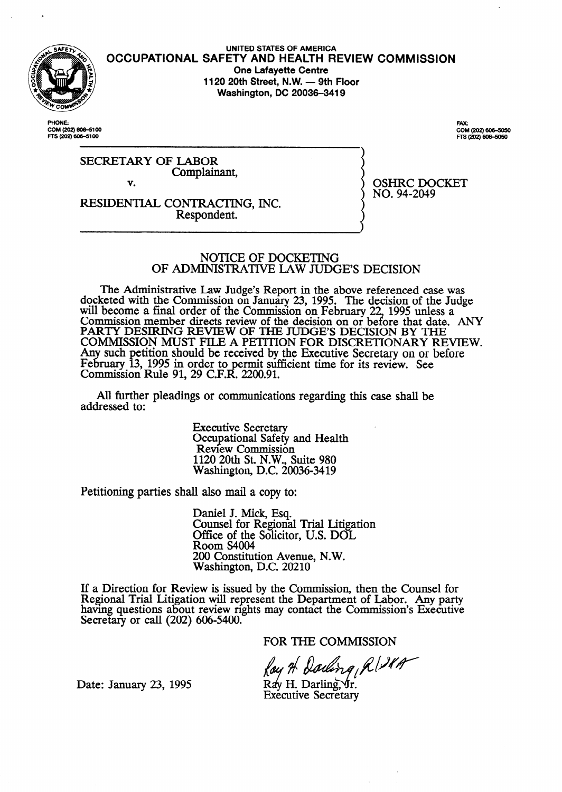

**UNITED STATES OF AMERICA OCCUPATIONAL SAFETY AND HEALTH REVIEW COMMISSION One Lafayette Centre 1120 20th Street, N.W. - 9th Floor Washington, DC 20036-3419** 

**PHONE:** OM (202) 606-5100 FTS (202) 606-5100

FAX:<br>COM (202) 606-5050 FTS (202) 606-5050

SECRETARY OF LABOR Complainant,

v.

RESIDENTIAL CONTRACTING, INC. Respondent.

OSHRC DOCKET NO. 94-2049

NOTICE OF DOCKETING OF ADMINISTRATIVE LAW JUDGE'S DECISION

The Administrative Law Judge's Report in the above referenced case was docketed with the Commission on January 23, 1995. The decision of the Judge will become a final order of the Commission on February 22, 1995 unless a Commission member directs review of the decision on or before that date. ANY PARTY DESIRING REVIEW OF THE JUDGE'S DECISION BY THE COMMISSION MUST FILE A PETITION FOR DISCRETIONARY REVIEW. should be received by the Executive Secretary on or before in order to permit sufficient time for its review. 91, 29 C.F.R. 2200.91. See

All further pleadings or communications regarding this case shall be addressed to:

> Executive Secretary Occupational Safety and Health Review Commission 1120 20th St. N.W., Suite 980 Washington, D.C. 20036-3419

Petitioning parties shall also mail a copy to:

Daniel J. Mick, Esq. Counsel for Regional Trial Litigation Office of the Solicitor, U.S. DOL Room S4004 200 Constitution Avenue, N.W. Washington, D.C. 20210

If a Direction for Review is issued by the Commission, then the Counsel for Regional Trial Litigation will represent the Department of Labor. Any party having questions about review rights may contact the Commission's Executive Secretary or call (202) 606-5400.

FOR THE COMMISSION

 $\int_{\mathcal{A}} \rho \text{ is a constant.}$ <br>Date: January 23, 1995 Ray H. Darling, Jr.

Executive Secretary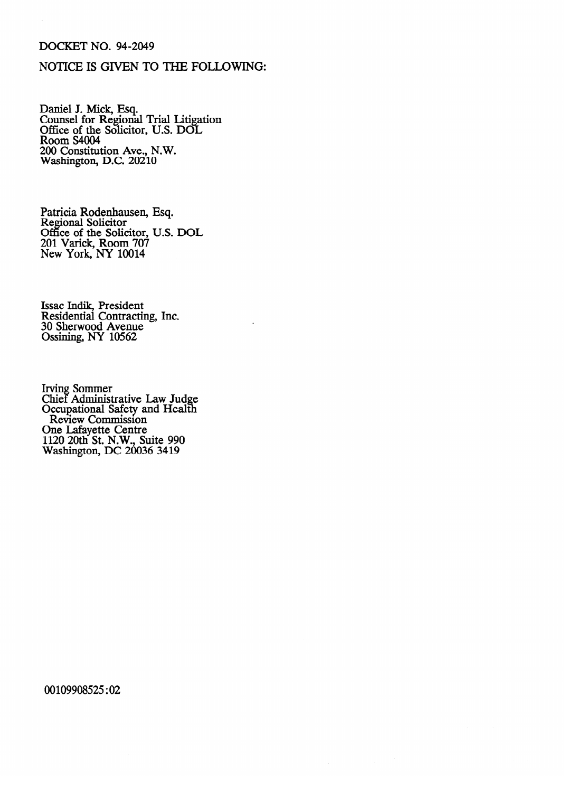## DOCKET NO. 94-2049

## NOTICE IS GIVEN TO THE FOLLOWING:

Daniel J. Mick, Esq. Counsel for Regional Trial Litigation<br>Office of the Soligitor TLS DOI Office of the Solicitor, U.S. DOL  $P_{\text{comm}}$  S4004 ROOM S4004<br>200 Constituti 200 Constitution Ave., N.W. Washington, D.C. 20210

r autela Rodenhausen, Esq.<br>Regional Solicitor Regional Solicitor<br>Office of the Solic Office of the Solicitor, O.S. DOL<br>201 Varick Room 707 201 valick, Room 707<br>New York, NY 10014 New York, NY 10014

Issac Indik, President Residential Contracting, Inc.<br>30 Sherwood Avenue 30 Sherwood Avenue  $\sim$ 

Chief Administ Occupational Safety and Health Review Commission ne Lafayette Centre 1120 20th St. N.W., Su Washington, DC 20036 3419 Washington, DC 20036 3419

00109908525:02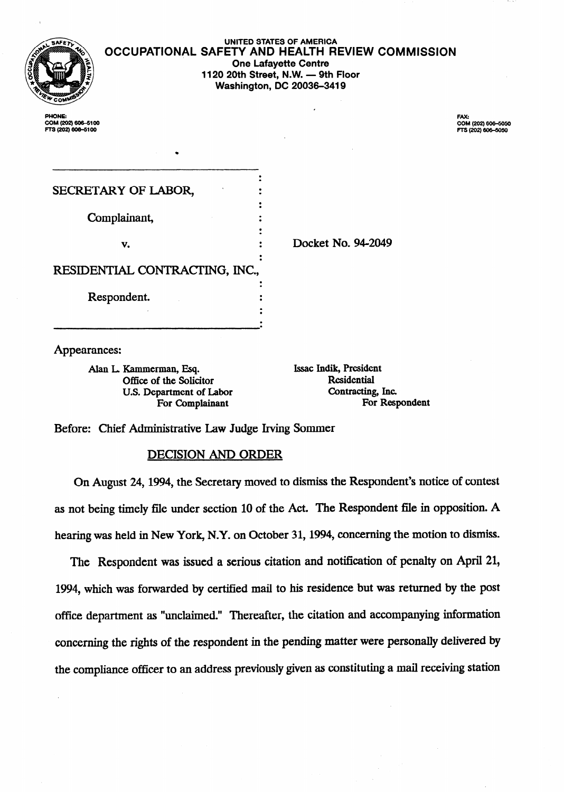| Į                                                  | UNITED STATES OF AMERICA<br><b>OCCUPATIONAL SAFETY AND HEALTH REVIEW COMMISSION</b><br><b>One Lafayette Centre</b><br>1120 20th Street, N.W. - 9th Floor<br><b>Washington, DC 20036-3419</b> |                                                  |
|----------------------------------------------------|----------------------------------------------------------------------------------------------------------------------------------------------------------------------------------------------|--------------------------------------------------|
| PHONE:<br>COM (202) 606-5100<br>FTS (202) 606-5100 |                                                                                                                                                                                              | FAX:<br>COM (202) 606-5050<br>FTS (202) 606-5050 |

| SECRETARY OF LABOR,            |                    |  |
|--------------------------------|--------------------|--|
| Complainant,                   |                    |  |
| v.                             | Docket No. 94-2049 |  |
| RESIDENTIAL CONTRACTING, INC., |                    |  |
| Respondent.                    |                    |  |
|                                |                    |  |

Appearances:

Alan L. Kammerman, Esq. **Issac Indik, President Contains Containers** Office of the Solicitor **Indian Residential** For Complainant

Office of the Solicitor **Residential**<br>
U.S. Department of Labor **Contracting**, Inc. U.S. Department of Labor **Contracting, Inc.**<br>
For Complainant **Contracting** For Respondent

Before: Chief Administrative Law Judge Irving Sommer

## DECISION AND ORDER

On August 24,1994, the Secretary moved to dismiss the Respondent's notice of contest as not being timely file under section 10 of the Act. The Respondent file in opposition. A hearing was held in New York, N.Y. on October 31,1994, concerning the motion to dismiss.

The Respondent was issued a serious citation and notification of penalty on April 21, 1994, which was forwarded by certified mail to his residence but was returned by the post office department as "unclaimed." Thereafter, the citation and accompanying information concerning the rights of the respondent in the pending matter were personally delivered by the compliance officer to an address previously given as constituting a mail receiving station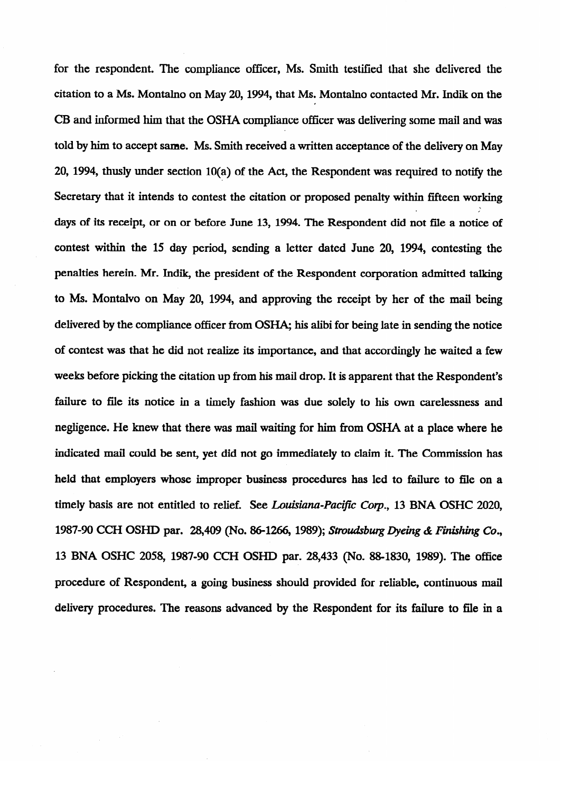for the respondent. The compliance officer, Ms. Smith testified that she delivered the citation to a Ms. Montalno on May 20, 1994, that Ms. Montalno contacted Mr. Indik on the CB and informed him that the OSHA compliance officer was delivering some mail and was told by him to accept same. Ms. Smith received a written acceptance of the delivery on May 20, 1994, thusly under section 10(a) of the Act, the Respondent was required to notify the Secretary that it intends to contest the citation or proposed penalty within fifteen working days of its receipt, or on or before June 13, 1994. The Respondent did not file a notice of contest within the 15 day period, sending a letter dated June 20, 1994, contesting the penalties herein. Mr. Indik, the president of the Respondent corporation admitted talking penalties herein. Mr. Indik, the president of the Respondent corporation admitted talking to Ms. Montalvo on May 20, 1994, and approving the receipt by her of the mail being delivered by the compliance officer from OSHA; his alibi for being late in sending the notice of contest was that he did not realize its importance, and that accordingly he waited a few weeks before picking the citation up from his mail drop. It is apparent that the Respondent's mail drop. It is negligence. He knew that there was mail waiting for him from OSHA at a place where he indicated mail could be sent, yet did not go immediately to claim it. The Commission has held that employers whose improper business procedures has led to failure to file on a timely basis are not entitled to relief. See Louisiana-Pacific Corp., 13 BNA OSHC 2020, 1987-90 CCH OSHD par. 28,409 (No. 86-1266, 1989); *Stroudsburg Dyeing & Finishing Co.*, 13 BNA OSHC 2058, 1987-90 CCH OSHD par. 28,433 (No. 88-1830, 1989). The office procedure of Respondent, a going business should provided for reliable, continuous mail delivery procedures. The reasons advanced by the Respondent for its failure to file in a